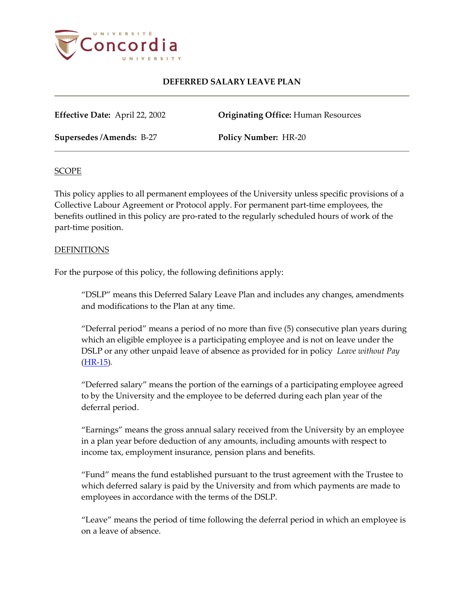

**Effective Date:** April 22, 2002 **Originating Office:** Human Resources

**Supersedes /Amends:** B-27 **Policy Number:** HR-20

## SCOPE

This policy applies to all permanent employees of the University unless specific provisions of a Collective Labour Agreement or Protocol apply. For permanent part-time employees, the benefits outlined in this policy are pro-rated to the regularly scheduled hours of work of the part-time position.

## **DEFINITIONS**

For the purpose of this policy, the following definitions apply:

"DSLP" means this Deferred Salary Leave Plan and includes any changes, amendments and modifications to the Plan at any time.

"Deferral period" means a period of no more than five (5) consecutive plan years during which an eligible employee is a participating employee and is not on leave under the DSLP or any other unpaid leave of absence as provided for in policy *Leave without Pay* [\(HR-15\)](http://www.concordia.ca/vpirsg/documents/policies/HR-15.pdf)*.*

"Deferred salary" means the portion of the earnings of a participating employee agreed to by the University and the employee to be deferred during each plan year of the deferral period.

"Earnings" means the gross annual salary received from the University by an employee in a plan year before deduction of any amounts, including amounts with respect to income tax, employment insurance, pension plans and benefits.

"Fund" means the fund established pursuant to the trust agreement with the Trustee to which deferred salary is paid by the University and from which payments are made to employees in accordance with the terms of the DSLP.

"Leave" means the period of time following the deferral period in which an employee is on a leave of absence.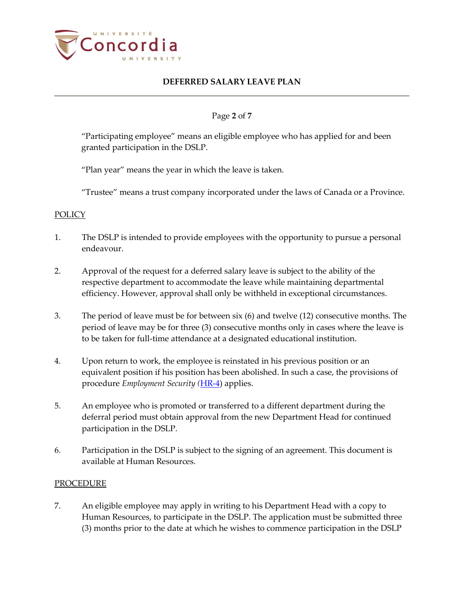

## Page **2** of **7**

"Participating employee" means an eligible employee who has applied for and been granted participation in the DSLP.

"Plan year" means the year in which the leave is taken.

"Trustee" means a trust company incorporated under the laws of Canada or a Province.

### **POLICY**

- 1. The DSLP is intended to provide employees with the opportunity to pursue a personal endeavour.
- 2. Approval of the request for a deferred salary leave is subject to the ability of the respective department to accommodate the leave while maintaining departmental efficiency. However, approval shall only be withheld in exceptional circumstances.
- 3. The period of leave must be for between six (6) and twelve (12) consecutive months. The period of leave may be for three (3) consecutive months only in cases where the leave is to be taken for full-time attendance at a designated educational institution.
- 4. Upon return to work, the employee is reinstated in his previous position or an equivalent position if his position has been abolished. In such a case, the provisions of procedure *Employment Security (*[HR-4\)](http://www.concordia.ca/vpirsg/documents/policies/HR-4.pdf) applies.
- 5. An employee who is promoted or transferred to a different department during the deferral period must obtain approval from the new Department Head for continued participation in the DSLP.
- 6. Participation in the DSLP is subject to the signing of an agreement. This document is available at Human Resources.

### PROCEDURE

7. An eligible employee may apply in writing to his Department Head with a copy to Human Resources, to participate in the DSLP. The application must be submitted three (3) months prior to the date at which he wishes to commence participation in the DSLP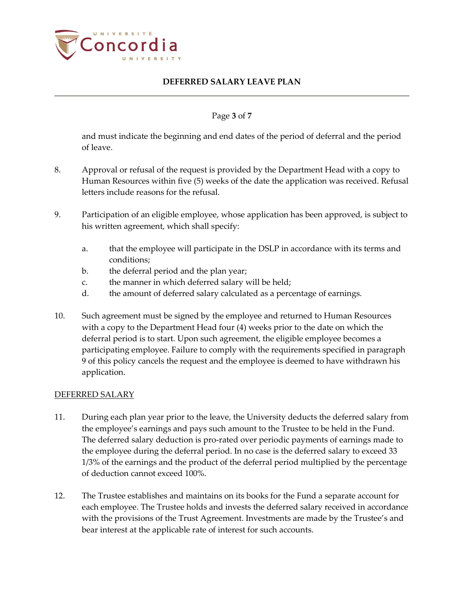

## Page **3** of **7**

and must indicate the beginning and end dates of the period of deferral and the period of leave.

- 8. Approval or refusal of the request is provided by the Department Head with a copy to Human Resources within five (5) weeks of the date the application was received. Refusal letters include reasons for the refusal.
- 9. Participation of an eligible employee, whose application has been approved, is subject to his written agreement, which shall specify:
	- a. that the employee will participate in the DSLP in accordance with its terms and conditions;
	- b. the deferral period and the plan year;
	- c. the manner in which deferred salary will be held;
	- d. the amount of deferred salary calculated as a percentage of earnings.
- 10. Such agreement must be signed by the employee and returned to Human Resources with a copy to the Department Head four (4) weeks prior to the date on which the deferral period is to start. Upon such agreement, the eligible employee becomes a participating employee. Failure to comply with the requirements specified in paragraph 9 of this policy cancels the request and the employee is deemed to have withdrawn his application.

### DEFERRED SALARY

- 11. During each plan year prior to the leave, the University deducts the deferred salary from the employee's earnings and pays such amount to the Trustee to be held in the Fund. The deferred salary deduction is pro-rated over periodic payments of earnings made to the employee during the deferral period. In no case is the deferred salary to exceed 33 1/3% of the earnings and the product of the deferral period multiplied by the percentage of deduction cannot exceed 100%.
- 12. The Trustee establishes and maintains on its books for the Fund a separate account for each employee. The Trustee holds and invests the deferred salary received in accordance with the provisions of the Trust Agreement. Investments are made by the Trustee's and bear interest at the applicable rate of interest for such accounts.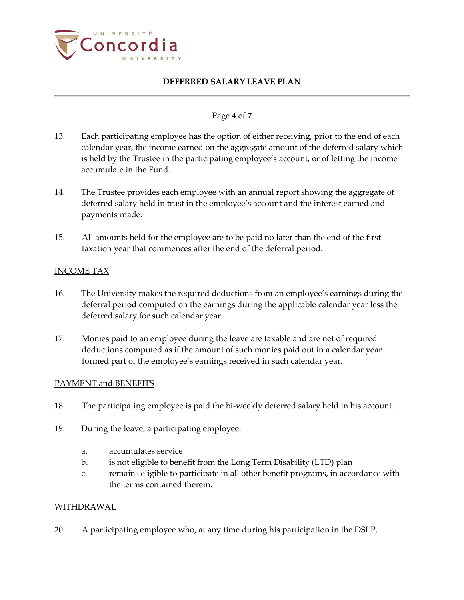

## Page **4** of **7**

- 13. Each participating employee has the option of either receiving, prior to the end of each calendar year, the income earned on the aggregate amount of the deferred salary which is held by the Trustee in the participating employee's account, or of letting the income accumulate in the Fund.
- 14. The Trustee provides each employee with an annual report showing the aggregate of deferred salary held in trust in the employee's account and the interest earned and payments made.
- 15. All amounts held for the employee are to be paid no later than the end of the first taxation year that commences after the end of the deferral period.

## INCOME TAX

- 16. The University makes the required deductions from an employee's earnings during the deferral period computed on the earnings during the applicable calendar year less the deferred salary for such calendar year.
- 17. Monies paid to an employee during the leave are taxable and are net of required deductions computed as if the amount of such monies paid out in a calendar year formed part of the employee's earnings received in such calendar year.

### PAYMENT and BENEFITS

- 18. The participating employee is paid the bi-weekly deferred salary held in his account.
- 19. During the leave, a participating employee:
	- a. accumulates service
	- b. is not eligible to benefit from the Long Term Disability (LTD) plan
	- c. remains eligible to participate in all other benefit programs, in accordance with the terms contained therein.

## WITHDRAWAL

20. A participating employee who, at any time during his participation in the DSLP,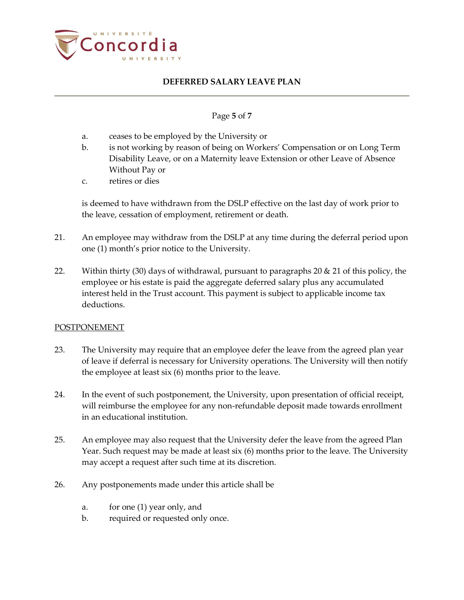

## Page **5** of **7**

- a. ceases to be employed by the University or
- b. is not working by reason of being on Workers' Compensation or on Long Term Disability Leave, or on a Maternity leave Extension or other Leave of Absence Without Pay or
- c. retires or dies

is deemed to have withdrawn from the DSLP effective on the last day of work prior to the leave, cessation of employment, retirement or death.

- 21. An employee may withdraw from the DSLP at any time during the deferral period upon one (1) month's prior notice to the University.
- 22. Within thirty (30) days of withdrawal, pursuant to paragraphs 20  $\&$  21 of this policy, the employee or his estate is paid the aggregate deferred salary plus any accumulated interest held in the Trust account. This payment is subject to applicable income tax deductions.

### POSTPONEMENT

- 23. The University may require that an employee defer the leave from the agreed plan year of leave if deferral is necessary for University operations. The University will then notify the employee at least six (6) months prior to the leave.
- 24. In the event of such postponement, the University, upon presentation of official receipt, will reimburse the employee for any non-refundable deposit made towards enrollment in an educational institution.
- 25. An employee may also request that the University defer the leave from the agreed Plan Year. Such request may be made at least six (6) months prior to the leave. The University may accept a request after such time at its discretion.
- 26. Any postponements made under this article shall be
	- a. for one (1) year only, and
	- b. required or requested only once.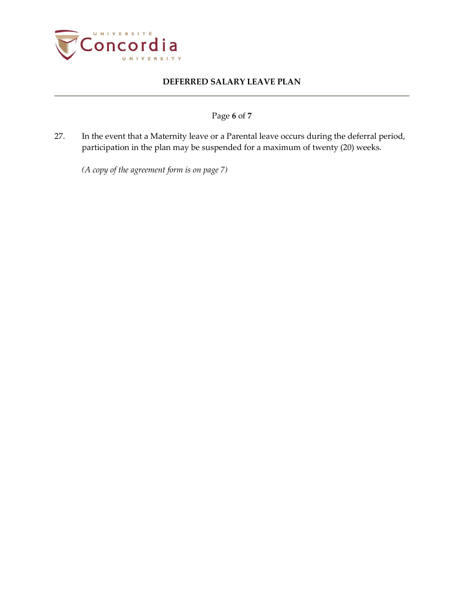

# Page **6** of **7**

27. In the event that a Maternity leave or a Parental leave occurs during the deferral period, participation in the plan may be suspended for a maximum of twenty (20) weeks.

*(A copy of the agreement form is on page 7)*